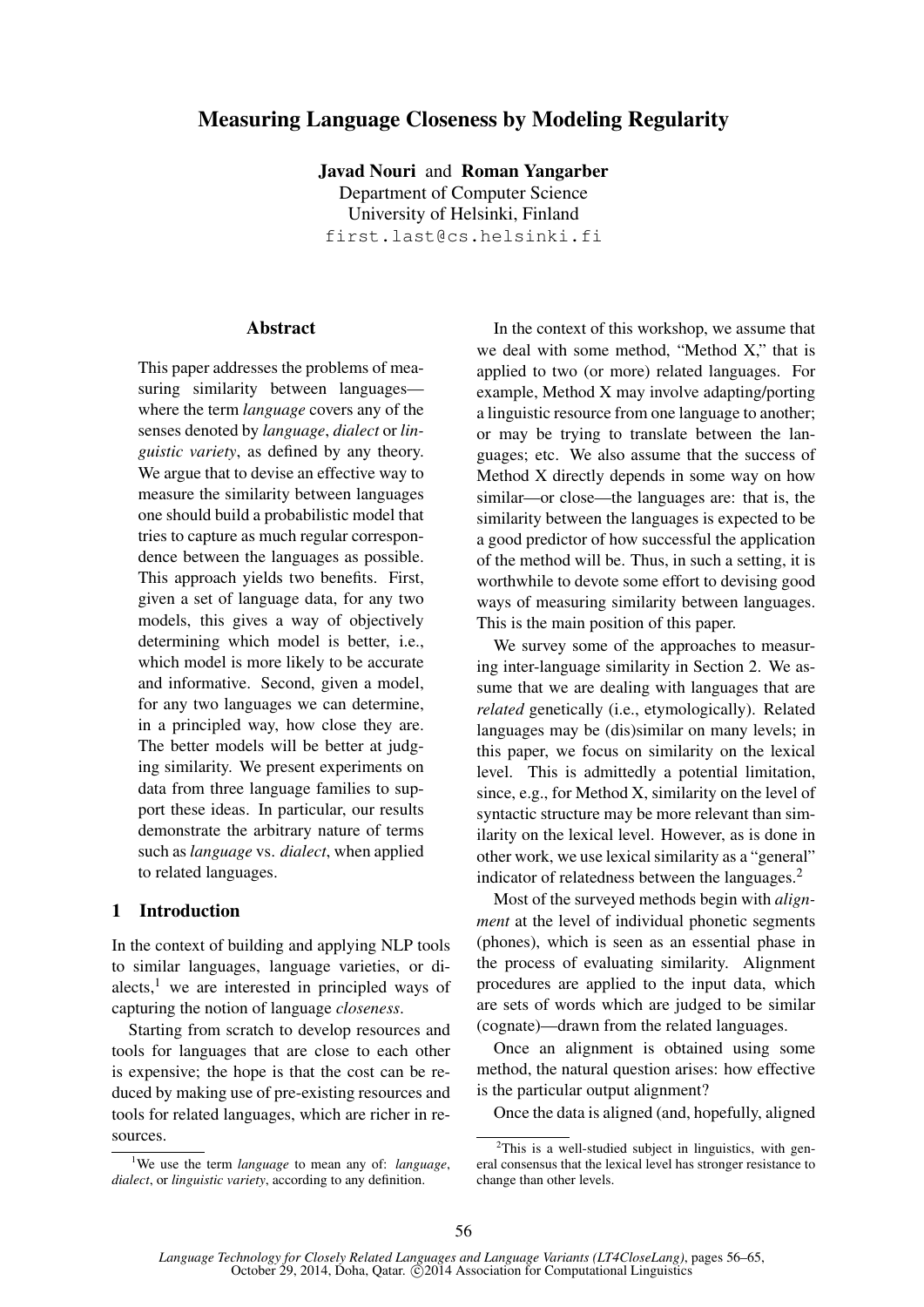# Measuring Language Closeness by Modeling Regularity

Javad Nouri and Roman Yangarber Department of Computer Science University of Helsinki, Finland first.last@cs.helsinki.fi

#### **Abstract**

This paper addresses the problems of measuring similarity between languages where the term *language* covers any of the senses denoted by *language*, *dialect* or *linguistic variety*, as defined by any theory. We argue that to devise an effective way to measure the similarity between languages one should build a probabilistic model that tries to capture as much regular correspondence between the languages as possible. This approach yields two benefits. First, given a set of language data, for any two models, this gives a way of objectively determining which model is better, i.e., which model is more likely to be accurate and informative. Second, given a model, for any two languages we can determine, in a principled way, how close they are. The better models will be better at judging similarity. We present experiments on data from three language families to support these ideas. In particular, our results demonstrate the arbitrary nature of terms such as *language* vs. *dialect*, when applied to related languages.

### 1 Introduction

In the context of building and applying NLP tools to similar languages, language varieties, or dialects, $<sup>1</sup>$  we are interested in principled ways of</sup> capturing the notion of language *closeness*.

Starting from scratch to develop resources and tools for languages that are close to each other is expensive; the hope is that the cost can be reduced by making use of pre-existing resources and tools for related languages, which are richer in resources.

In the context of this workshop, we assume that we deal with some method, "Method X," that is applied to two (or more) related languages. For example, Method X may involve adapting/porting a linguistic resource from one language to another; or may be trying to translate between the languages; etc. We also assume that the success of Method X directly depends in some way on how similar—or close—the languages are: that is, the similarity between the languages is expected to be a good predictor of how successful the application of the method will be. Thus, in such a setting, it is worthwhile to devote some effort to devising good ways of measuring similarity between languages. This is the main position of this paper.

We survey some of the approaches to measuring inter-language similarity in Section 2. We assume that we are dealing with languages that are *related* genetically (i.e., etymologically). Related languages may be (dis)similar on many levels; in this paper, we focus on similarity on the lexical level. This is admittedly a potential limitation, since, e.g., for Method X, similarity on the level of syntactic structure may be more relevant than similarity on the lexical level. However, as is done in other work, we use lexical similarity as a "general" indicator of relatedness between the languages. $<sup>2</sup>$ </sup>

Most of the surveyed methods begin with *alignment* at the level of individual phonetic segments (phones), which is seen as an essential phase in the process of evaluating similarity. Alignment procedures are applied to the input data, which are sets of words which are judged to be similar (cognate)—drawn from the related languages.

Once an alignment is obtained using some method, the natural question arises: how effective is the particular output alignment?

Once the data is aligned (and, hopefully, aligned

<sup>1</sup>We use the term *language* to mean any of: *language*, *dialect*, or *linguistic variety*, according to any definition.

 $2$ This is a well-studied subject in linguistics, with general consensus that the lexical level has stronger resistance to change than other levels.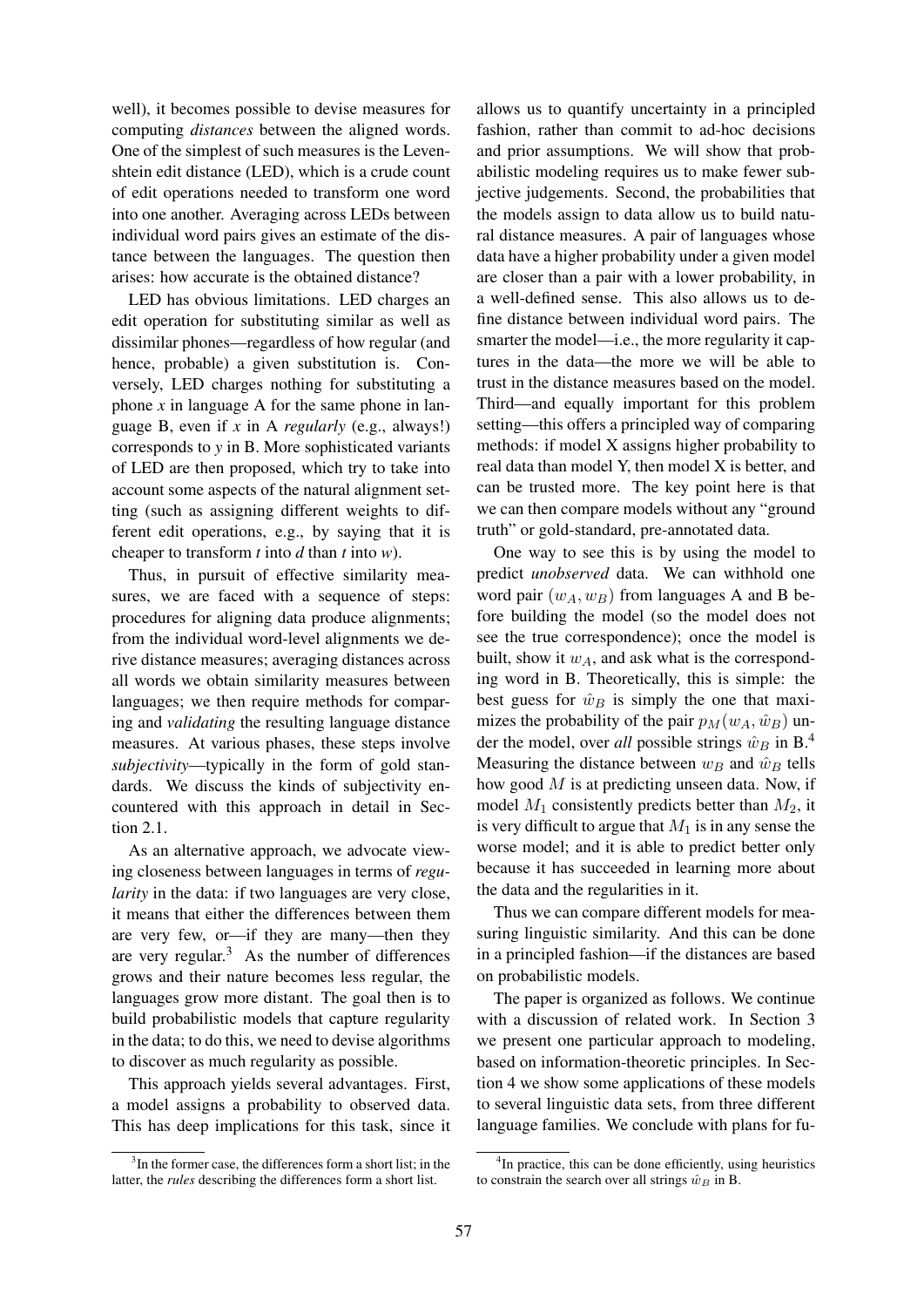well), it becomes possible to devise measures for computing *distances* between the aligned words. One of the simplest of such measures is the Levenshtein edit distance (LED), which is a crude count of edit operations needed to transform one word into one another. Averaging across LEDs between individual word pairs gives an estimate of the distance between the languages. The question then arises: how accurate is the obtained distance?

LED has obvious limitations. LED charges an edit operation for substituting similar as well as dissimilar phones—regardless of how regular (and hence, probable) a given substitution is. Conversely, LED charges nothing for substituting a phone  $x$  in language A for the same phone in language B, even if *x* in A *regularly* (e.g., always!) corresponds to *y* in B. More sophisticated variants of LED are then proposed, which try to take into account some aspects of the natural alignment setting (such as assigning different weights to different edit operations, e.g., by saying that it is cheaper to transform *t* into *d* than *t* into *w*).

Thus, in pursuit of effective similarity measures, we are faced with a sequence of steps: procedures for aligning data produce alignments; from the individual word-level alignments we derive distance measures; averaging distances across all words we obtain similarity measures between languages; we then require methods for comparing and *validating* the resulting language distance measures. At various phases, these steps involve *subjectivity*—typically in the form of gold standards. We discuss the kinds of subjectivity encountered with this approach in detail in Section 2.1.

As an alternative approach, we advocate viewing closeness between languages in terms of *regularity* in the data: if two languages are very close, it means that either the differences between them are very few, or—if they are many—then they are very regular. $3$  As the number of differences grows and their nature becomes less regular, the languages grow more distant. The goal then is to build probabilistic models that capture regularity in the data; to do this, we need to devise algorithms to discover as much regularity as possible.

This approach yields several advantages. First, a model assigns a probability to observed data. This has deep implications for this task, since it

allows us to quantify uncertainty in a principled fashion, rather than commit to ad-hoc decisions and prior assumptions. We will show that probabilistic modeling requires us to make fewer subjective judgements. Second, the probabilities that the models assign to data allow us to build natural distance measures. A pair of languages whose data have a higher probability under a given model are closer than a pair with a lower probability, in a well-defined sense. This also allows us to define distance between individual word pairs. The smarter the model—i.e., the more regularity it captures in the data—the more we will be able to trust in the distance measures based on the model. Third—and equally important for this problem setting—this offers a principled way of comparing methods: if model X assigns higher probability to real data than model Y, then model X is better, and can be trusted more. The key point here is that we can then compare models without any "ground truth" or gold-standard, pre-annotated data.

One way to see this is by using the model to predict *unobserved* data. We can withhold one word pair  $(w_A, w_B)$  from languages A and B before building the model (so the model does not see the true correspondence); once the model is built, show it  $w_A$ , and ask what is the corresponding word in B. Theoretically, this is simple: the best guess for  $\hat{w}_B$  is simply the one that maximizes the probability of the pair  $p_M(w_A, \hat{w}_B)$  under the model, over *all* possible strings  $\hat{w}_B$  in B.<sup>4</sup> Measuring the distance between  $w_B$  and  $\hat{w}_B$  tells how good  $M$  is at predicting unseen data. Now, if model  $M_1$  consistently predicts better than  $M_2$ , it is very difficult to argue that  $M_1$  is in any sense the worse model; and it is able to predict better only because it has succeeded in learning more about the data and the regularities in it.

Thus we can compare different models for measuring linguistic similarity. And this can be done in a principled fashion—if the distances are based on probabilistic models.

The paper is organized as follows. We continue with a discussion of related work. In Section 3 we present one particular approach to modeling, based on information-theoretic principles. In Section 4 we show some applications of these models to several linguistic data sets, from three different language families. We conclude with plans for fu-

<sup>&</sup>lt;sup>3</sup>In the former case, the differences form a short list; in the latter, the *rules* describing the differences form a short list.

<sup>&</sup>lt;sup>4</sup>In practice, this can be done efficiently, using heuristics to constrain the search over all strings  $\hat{w}_B$  in B.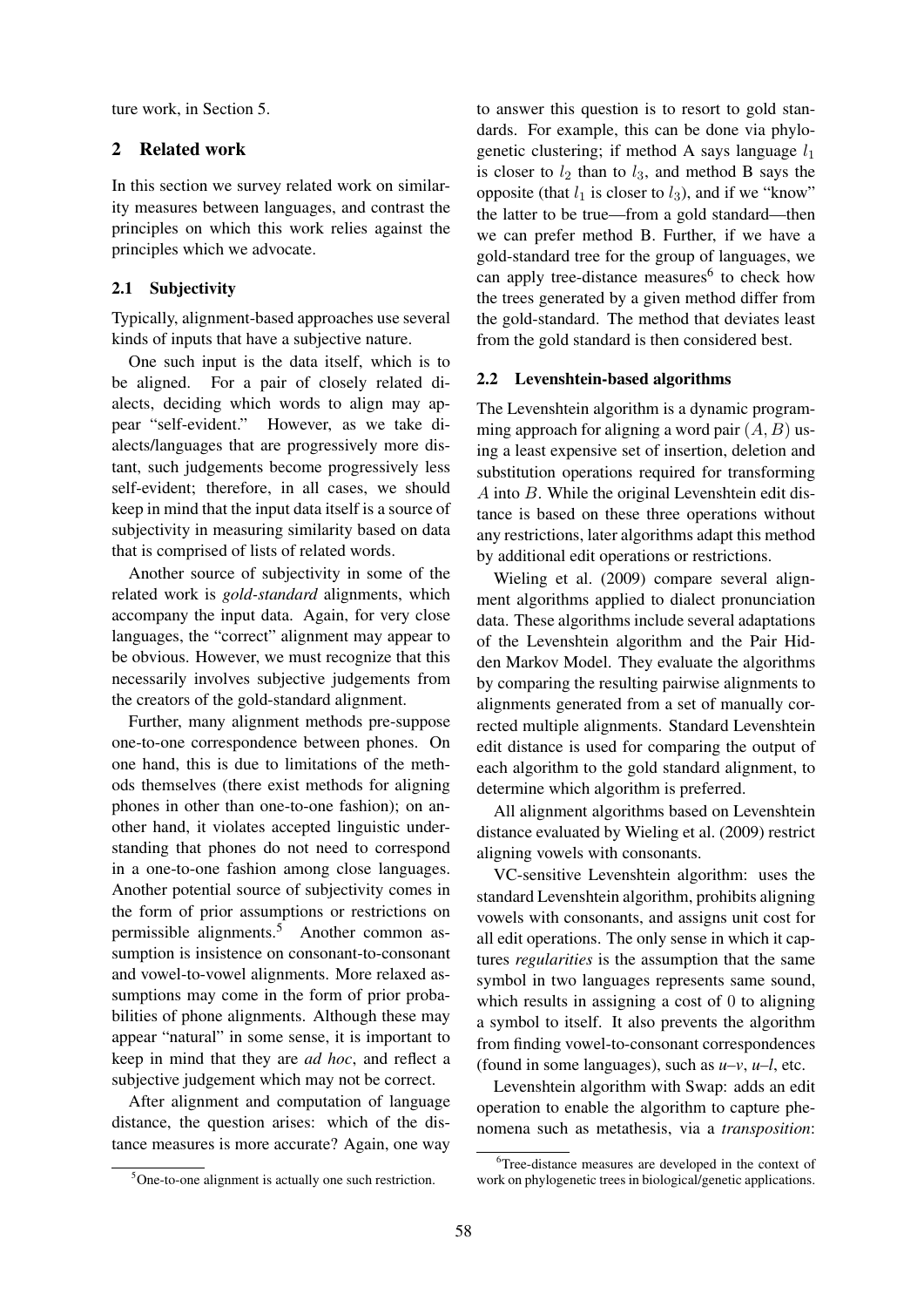ture work, in Section 5.

# 2 Related work

In this section we survey related work on similarity measures between languages, and contrast the principles on which this work relies against the principles which we advocate.

## 2.1 Subjectivity

Typically, alignment-based approaches use several kinds of inputs that have a subjective nature.

One such input is the data itself, which is to be aligned. For a pair of closely related dialects, deciding which words to align may appear "self-evident." However, as we take dialects/languages that are progressively more distant, such judgements become progressively less self-evident; therefore, in all cases, we should keep in mind that the input data itself is a source of subjectivity in measuring similarity based on data that is comprised of lists of related words.

Another source of subjectivity in some of the related work is *gold-standard* alignments, which accompany the input data. Again, for very close languages, the "correct" alignment may appear to be obvious. However, we must recognize that this necessarily involves subjective judgements from the creators of the gold-standard alignment.

Further, many alignment methods pre-suppose one-to-one correspondence between phones. On one hand, this is due to limitations of the methods themselves (there exist methods for aligning phones in other than one-to-one fashion); on another hand, it violates accepted linguistic understanding that phones do not need to correspond in a one-to-one fashion among close languages. Another potential source of subjectivity comes in the form of prior assumptions or restrictions on permissible alignments.<sup>5</sup> Another common assumption is insistence on consonant-to-consonant and vowel-to-vowel alignments. More relaxed assumptions may come in the form of prior probabilities of phone alignments. Although these may appear "natural" in some sense, it is important to keep in mind that they are *ad hoc*, and reflect a subjective judgement which may not be correct.

After alignment and computation of language distance, the question arises: which of the distance measures is more accurate? Again, one way to answer this question is to resort to gold standards. For example, this can be done via phylogenetic clustering; if method A says language  $l_1$ is closer to  $l_2$  than to  $l_3$ , and method B says the opposite (that  $l_1$  is closer to  $l_3$ ), and if we "know" the latter to be true—from a gold standard—then we can prefer method B. Further, if we have a gold-standard tree for the group of languages, we can apply tree-distance measures<sup>6</sup> to check how the trees generated by a given method differ from the gold-standard. The method that deviates least from the gold standard is then considered best.

#### 2.2 Levenshtein-based algorithms

The Levenshtein algorithm is a dynamic programming approach for aligning a word pair  $(A, B)$  using a least expensive set of insertion, deletion and substitution operations required for transforming A into B. While the original Levenshtein edit distance is based on these three operations without any restrictions, later algorithms adapt this method by additional edit operations or restrictions.

Wieling et al. (2009) compare several alignment algorithms applied to dialect pronunciation data. These algorithms include several adaptations of the Levenshtein algorithm and the Pair Hidden Markov Model. They evaluate the algorithms by comparing the resulting pairwise alignments to alignments generated from a set of manually corrected multiple alignments. Standard Levenshtein edit distance is used for comparing the output of each algorithm to the gold standard alignment, to determine which algorithm is preferred.

All alignment algorithms based on Levenshtein distance evaluated by Wieling et al. (2009) restrict aligning vowels with consonants.

VC-sensitive Levenshtein algorithm: uses the standard Levenshtein algorithm, prohibits aligning vowels with consonants, and assigns unit cost for all edit operations. The only sense in which it captures *regularities* is the assumption that the same symbol in two languages represents same sound, which results in assigning a cost of 0 to aligning a symbol to itself. It also prevents the algorithm from finding vowel-to-consonant correspondences (found in some languages), such as *u–v*, *u–l*, etc.

Levenshtein algorithm with Swap: adds an edit operation to enable the algorithm to capture phenomena such as metathesis, via a *transposition*:

<sup>5</sup>One-to-one alignment is actually one such restriction.

<sup>&</sup>lt;sup>6</sup>Tree-distance measures are developed in the context of work on phylogenetic trees in biological/genetic applications.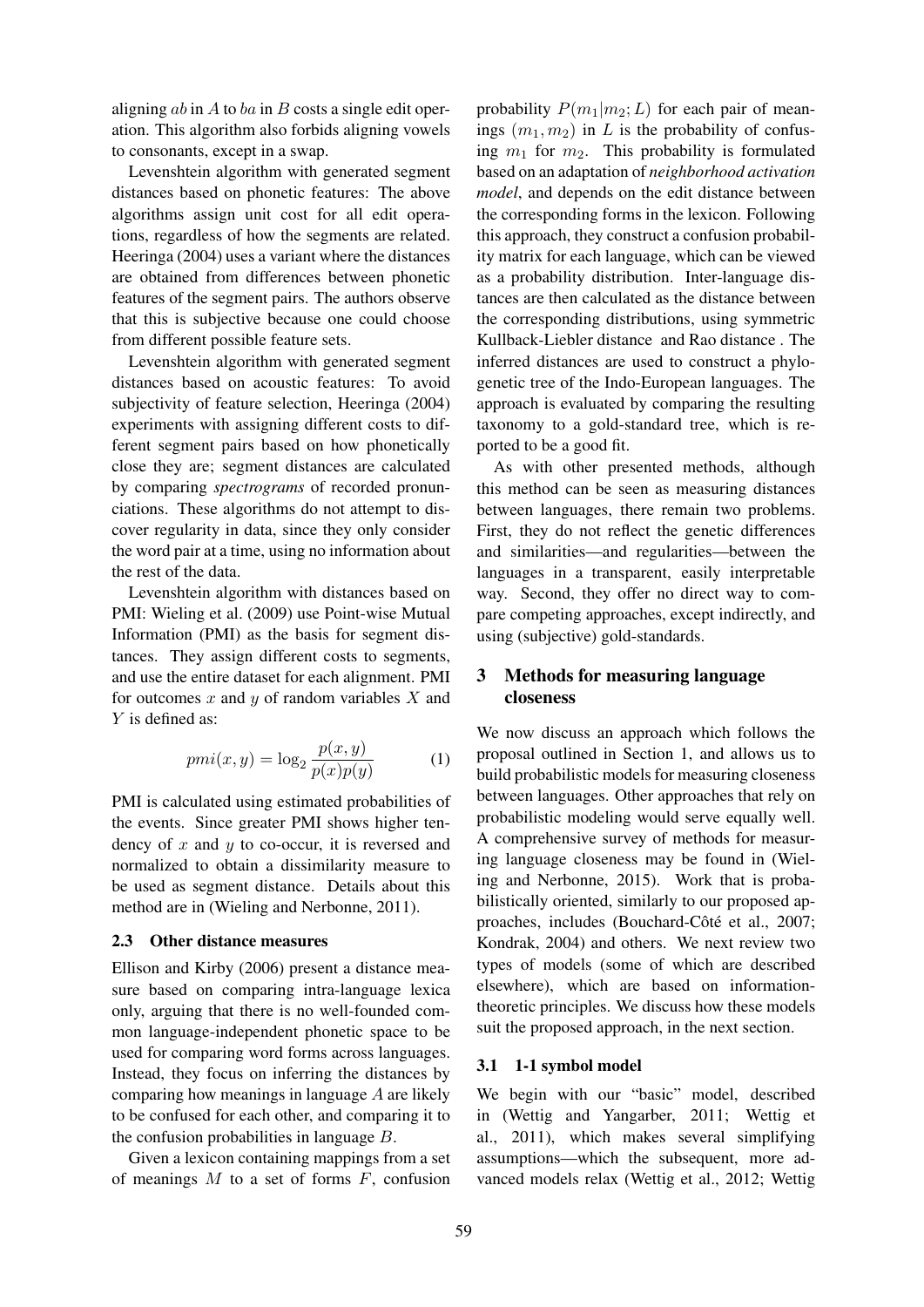aligning  $ab$  in  $A$  to  $ba$  in  $B$  costs a single edit operation. This algorithm also forbids aligning vowels to consonants, except in a swap.

Levenshtein algorithm with generated segment distances based on phonetic features: The above algorithms assign unit cost for all edit operations, regardless of how the segments are related. Heeringa (2004) uses a variant where the distances are obtained from differences between phonetic features of the segment pairs. The authors observe that this is subjective because one could choose from different possible feature sets.

Levenshtein algorithm with generated segment distances based on acoustic features: To avoid subjectivity of feature selection, Heeringa (2004) experiments with assigning different costs to different segment pairs based on how phonetically close they are; segment distances are calculated by comparing *spectrograms* of recorded pronunciations. These algorithms do not attempt to discover regularity in data, since they only consider the word pair at a time, using no information about the rest of the data.

Levenshtein algorithm with distances based on PMI: Wieling et al. (2009) use Point-wise Mutual Information (PMI) as the basis for segment distances. They assign different costs to segments, and use the entire dataset for each alignment. PMI for outcomes  $x$  and  $y$  of random variables  $X$  and Y is defined as:

$$
pmi(x,y) = \log_2 \frac{p(x,y)}{p(x)p(y)}\tag{1}
$$

PMI is calculated using estimated probabilities of the events. Since greater PMI shows higher tendency of x and  $y$  to co-occur, it is reversed and normalized to obtain a dissimilarity measure to be used as segment distance. Details about this method are in (Wieling and Nerbonne, 2011).

#### 2.3 Other distance measures

Ellison and Kirby (2006) present a distance measure based on comparing intra-language lexica only, arguing that there is no well-founded common language-independent phonetic space to be used for comparing word forms across languages. Instead, they focus on inferring the distances by comparing how meanings in language A are likely to be confused for each other, and comparing it to the confusion probabilities in language B.

Given a lexicon containing mappings from a set of meanings  $M$  to a set of forms  $F$ , confusion

probability  $P(m_1|m_2;L)$  for each pair of meanings  $(m_1, m_2)$  in L is the probability of confusing  $m_1$  for  $m_2$ . This probability is formulated based on an adaptation of *neighborhood activation model*, and depends on the edit distance between the corresponding forms in the lexicon. Following this approach, they construct a confusion probability matrix for each language, which can be viewed as a probability distribution. Inter-language distances are then calculated as the distance between the corresponding distributions, using symmetric Kullback-Liebler distance and Rao distance . The inferred distances are used to construct a phylogenetic tree of the Indo-European languages. The approach is evaluated by comparing the resulting taxonomy to a gold-standard tree, which is reported to be a good fit.

As with other presented methods, although this method can be seen as measuring distances between languages, there remain two problems. First, they do not reflect the genetic differences and similarities—and regularities—between the languages in a transparent, easily interpretable way. Second, they offer no direct way to compare competing approaches, except indirectly, and using (subjective) gold-standards.

# 3 Methods for measuring language closeness

We now discuss an approach which follows the proposal outlined in Section 1, and allows us to build probabilistic models for measuring closeness between languages. Other approaches that rely on probabilistic modeling would serve equally well. A comprehensive survey of methods for measuring language closeness may be found in (Wieling and Nerbonne, 2015). Work that is probabilistically oriented, similarly to our proposed approaches, includes (Bouchard-Côté et al., 2007; Kondrak, 2004) and others. We next review two types of models (some of which are described elsewhere), which are based on informationtheoretic principles. We discuss how these models suit the proposed approach, in the next section.

### 3.1 1-1 symbol model

We begin with our "basic" model, described in (Wettig and Yangarber, 2011; Wettig et al., 2011), which makes several simplifying assumptions—which the subsequent, more advanced models relax (Wettig et al., 2012; Wettig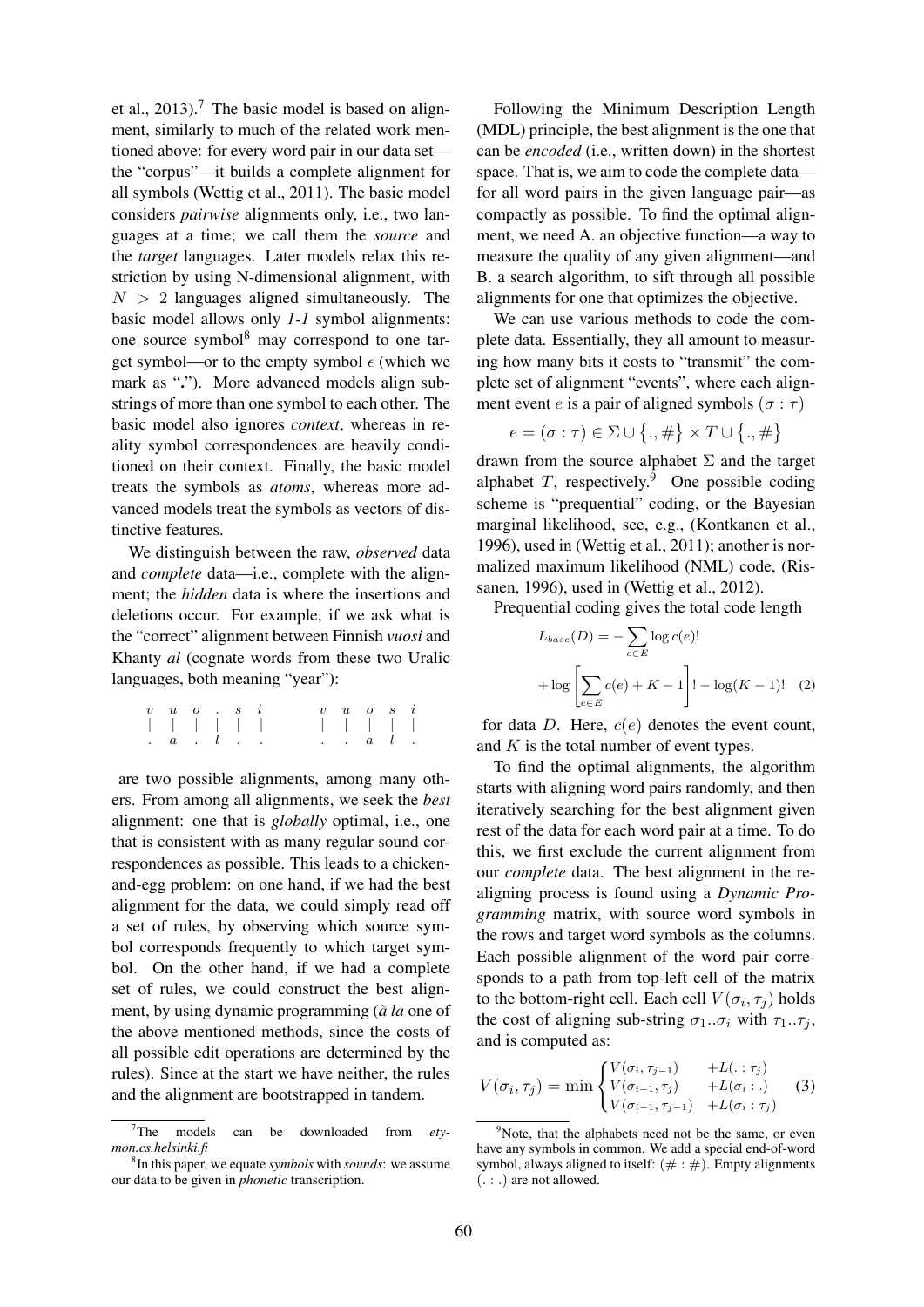et al.,  $2013$ ).<sup>7</sup> The basic model is based on alignment, similarly to much of the related work mentioned above: for every word pair in our data set the "corpus"—it builds a complete alignment for all symbols (Wettig et al., 2011). The basic model considers *pairwise* alignments only, i.e., two languages at a time; we call them the *source* and the *target* languages. Later models relax this restriction by using N-dimensional alignment, with  $N > 2$  languages aligned simultaneously. The basic model allows only *1-1* symbol alignments: one source symbol<sup>8</sup> may correspond to one target symbol—or to the empty symbol  $\epsilon$  (which we mark as "."). More advanced models align substrings of more than one symbol to each other. The basic model also ignores *context*, whereas in reality symbol correspondences are heavily conditioned on their context. Finally, the basic model treats the symbols as *atoms*, whereas more advanced models treat the symbols as vectors of distinctive features.

We distinguish between the raw, *observed* data and *complete* data—i.e., complete with the alignment; the *hidden* data is where the insertions and deletions occur. For example, if we ask what is the "correct" alignment between Finnish *vuosi* and Khanty *al* (cognate words from these two Uralic languages, both meaning "year"):

| $v \quad u \quad o \quad . \quad s \quad i$                                            |  |  | $v \quad u \quad o \quad s \quad i$                     |  |  |
|----------------------------------------------------------------------------------------|--|--|---------------------------------------------------------|--|--|
| 1 1 1 1 1 1 1                                                                          |  |  | 1 1 1 1 1                                               |  |  |
| $\begin{array}{ccccccccccccccccc}\n\cdot & a & \cdot & l & \cdot & \cdot\n\end{array}$ |  |  | $\cdot$ $\cdot$ $\cdot$ $\cdot$ $\cdot$ $\cdot$ $\cdot$ |  |  |

are two possible alignments, among many others. From among all alignments, we seek the *best* alignment: one that is *globally* optimal, i.e., one that is consistent with as many regular sound correspondences as possible. This leads to a chickenand-egg problem: on one hand, if we had the best alignment for the data, we could simply read off a set of rules, by observing which source symbol corresponds frequently to which target symbol. On the other hand, if we had a complete set of rules, we could construct the best alignment, by using dynamic programming (*à la* one of the above mentioned methods, since the costs of all possible edit operations are determined by the rules). Since at the start we have neither, the rules and the alignment are bootstrapped in tandem.

Following the Minimum Description Length (MDL) principle, the best alignment is the one that can be *encoded* (i.e., written down) in the shortest space. That is, we aim to code the complete data for all word pairs in the given language pair—as compactly as possible. To find the optimal alignment, we need A. an objective function—a way to measure the quality of any given alignment—and B. a search algorithm, to sift through all possible alignments for one that optimizes the objective.

We can use various methods to code the complete data. Essentially, they all amount to measuring how many bits it costs to "transmit" the complete set of alignment "events", where each alignment event e is a pair of aligned symbols ( $\sigma : \tau$ )

$$
e = (\sigma : \tau) \in \Sigma \cup \big\{., \#\big\} \times T \cup \big\{., \#\big\}
$$

drawn from the source alphabet  $\Sigma$  and the target alphabet  $T$ , respectively.<sup>9</sup> One possible coding scheme is "prequential" coding, or the Bayesian marginal likelihood, see, e.g., (Kontkanen et al., 1996), used in (Wettig et al., 2011); another is normalized maximum likelihood (NML) code, (Rissanen, 1996), used in (Wettig et al., 2012).

Prequential coding gives the total code length

$$
L_{base}(D) = -\sum_{e \in E} \log c(e)!
$$
  
+ 
$$
\log \left[ \sum_{e \in E} c(e) + K - 1 \right]! - \log(K - 1)!
$$
 (2)

for data D. Here,  $c(e)$  denotes the event count, and  $K$  is the total number of event types.

To find the optimal alignments, the algorithm starts with aligning word pairs randomly, and then iteratively searching for the best alignment given rest of the data for each word pair at a time. To do this, we first exclude the current alignment from our *complete* data. The best alignment in the realigning process is found using a *Dynamic Programming* matrix, with source word symbols in the rows and target word symbols as the columns. Each possible alignment of the word pair corresponds to a path from top-left cell of the matrix to the bottom-right cell. Each cell  $V(\sigma_i, \tau_j)$  holds the cost of aligning sub-string  $\sigma_1 \cdot \sigma_i$  with  $\tau_1 \cdot \tau_j$ , and is computed as:

$$
V(\sigma_i, \tau_j) = \min \begin{cases} V(\sigma_i, \tau_{j-1}) &+L(.:\tau_j) \\ V(\sigma_{i-1}, \tau_j) &+L(\sigma_i:.) \\ V(\sigma_{i-1}, \tau_{j-1}) &+L(\sigma_i:\tau_j) \end{cases} \tag{3}
$$

<sup>7</sup>The models can be downloaded from *etymon.cs.helsinki.fi*

<sup>8</sup> In this paper, we equate *symbols* with *sounds*: we assume our data to be given in *phonetic* transcription.

 $9^9$ Note, that the alphabets need not be the same, or even have any symbols in common. We add a special end-of-word symbol, always aligned to itself:  $(\# : \#)$ . Empty alignments  $(. : .)$  are not allowed.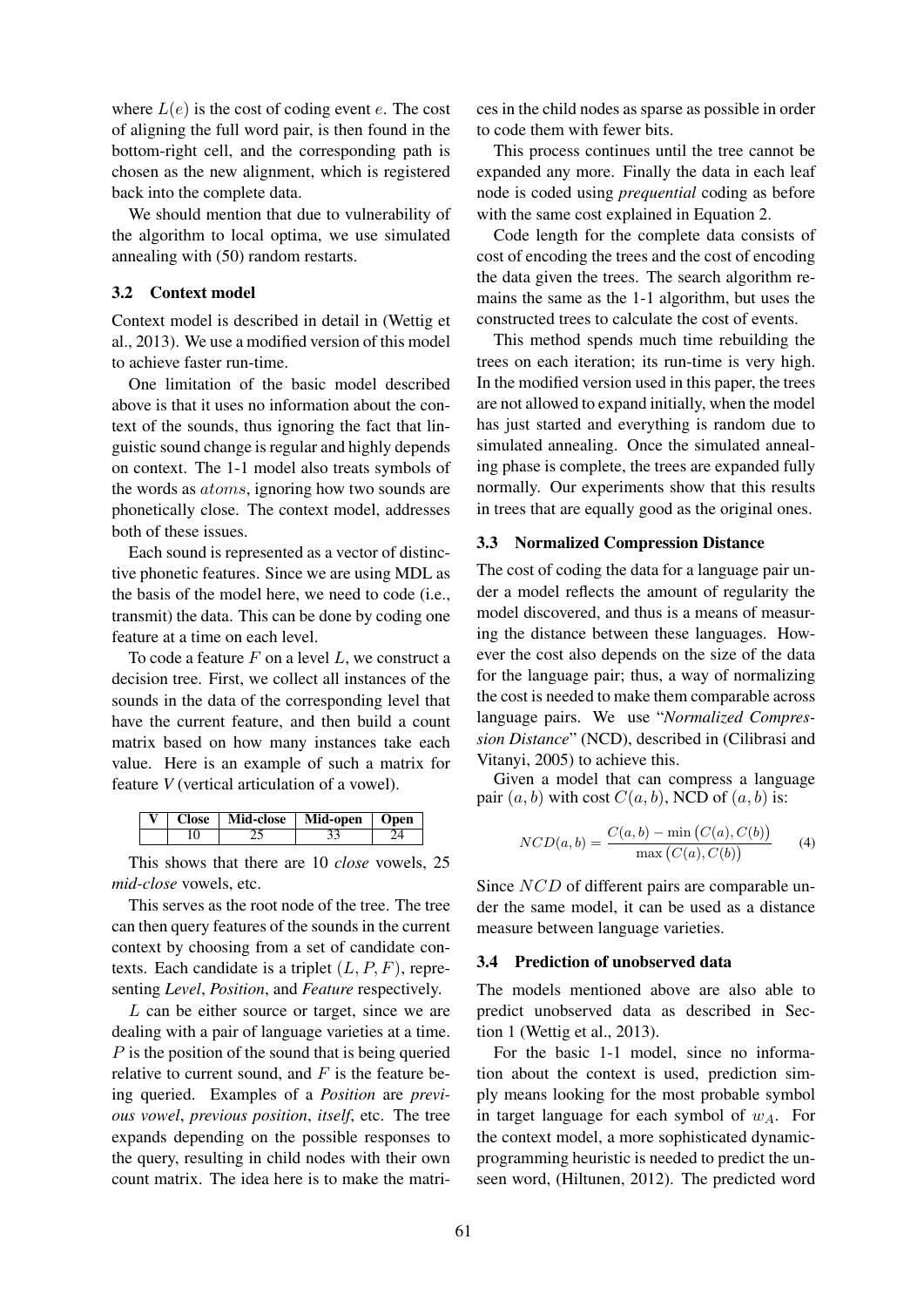where  $L(e)$  is the cost of coding event e. The cost of aligning the full word pair, is then found in the bottom-right cell, and the corresponding path is chosen as the new alignment, which is registered back into the complete data.

We should mention that due to vulnerability of the algorithm to local optima, we use simulated annealing with (50) random restarts.

#### 3.2 Context model

Context model is described in detail in (Wettig et al., 2013). We use a modified version of this model to achieve faster run-time.

One limitation of the basic model described above is that it uses no information about the context of the sounds, thus ignoring the fact that linguistic sound change is regular and highly depends on context. The 1-1 model also treats symbols of the words as atoms, ignoring how two sounds are phonetically close. The context model, addresses both of these issues.

Each sound is represented as a vector of distinctive phonetic features. Since we are using MDL as the basis of the model here, we need to code (i.e., transmit) the data. This can be done by coding one feature at a time on each level.

To code a feature  $F$  on a level  $L$ , we construct a decision tree. First, we collect all instances of the sounds in the data of the corresponding level that have the current feature, and then build a count matrix based on how many instances take each value. Here is an example of such a matrix for feature *V* (vertical articulation of a vowel).

|  | Close   Mid-close   Mid-open   Open |  |  |  |
|--|-------------------------------------|--|--|--|
|  |                                     |  |  |  |

This shows that there are 10 *close* vowels, 25 *mid-close* vowels, etc.

This serves as the root node of the tree. The tree can then query features of the sounds in the current context by choosing from a set of candidate contexts. Each candidate is a triplet  $(L, P, F)$ , representing *Level*, *Position*, and *Feature* respectively.

L can be either source or target, since we are dealing with a pair of language varieties at a time. P is the position of the sound that is being queried relative to current sound, and  $F$  is the feature being queried. Examples of a *Position* are *previous vowel*, *previous position*, *itself*, etc. The tree expands depending on the possible responses to the query, resulting in child nodes with their own count matrix. The idea here is to make the matri-

ces in the child nodes as sparse as possible in order to code them with fewer bits.

This process continues until the tree cannot be expanded any more. Finally the data in each leaf node is coded using *prequential* coding as before with the same cost explained in Equation 2.

Code length for the complete data consists of cost of encoding the trees and the cost of encoding the data given the trees. The search algorithm remains the same as the 1-1 algorithm, but uses the constructed trees to calculate the cost of events.

This method spends much time rebuilding the trees on each iteration; its run-time is very high. In the modified version used in this paper, the trees are not allowed to expand initially, when the model has just started and everything is random due to simulated annealing. Once the simulated annealing phase is complete, the trees are expanded fully normally. Our experiments show that this results in trees that are equally good as the original ones.

#### 3.3 Normalized Compression Distance

The cost of coding the data for a language pair under a model reflects the amount of regularity the model discovered, and thus is a means of measuring the distance between these languages. However the cost also depends on the size of the data for the language pair; thus, a way of normalizing the cost is needed to make them comparable across language pairs. We use "*Normalized Compression Distance*" (NCD), described in (Cilibrasi and Vitanyi, 2005) to achieve this.

Given a model that can compress a language pair  $(a, b)$  with cost  $C(a, b)$ , NCD of  $(a, b)$  is:

$$
NCD(a,b) = \frac{C(a,b) - \min(C(a), C(b))}{\max(C(a), C(b))}
$$
 (4)

Since NCD of different pairs are comparable under the same model, it can be used as a distance measure between language varieties.

#### 3.4 Prediction of unobserved data

The models mentioned above are also able to predict unobserved data as described in Section 1 (Wettig et al., 2013).

For the basic 1-1 model, since no information about the context is used, prediction simply means looking for the most probable symbol in target language for each symbol of  $w_A$ . For the context model, a more sophisticated dynamicprogramming heuristic is needed to predict the unseen word, (Hiltunen, 2012). The predicted word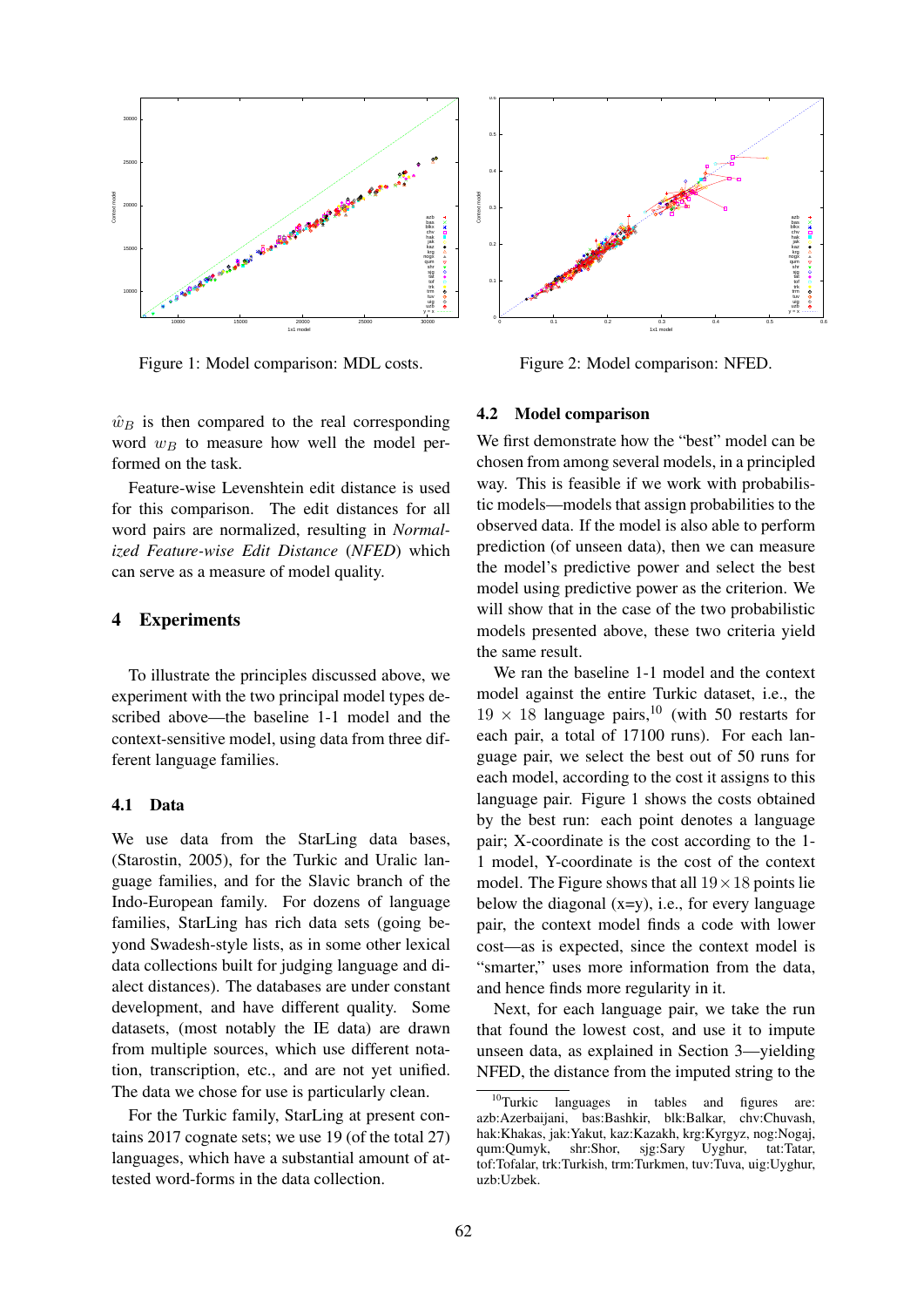

Figure 1: Model comparison: MDL costs.

 $\hat{w}_B$  is then compared to the real corresponding word  $w_B$  to measure how well the model performed on the task.

Feature-wise Levenshtein edit distance is used for this comparison. The edit distances for all word pairs are normalized, resulting in *Normalized Feature-wise Edit Distance* (*NFED*) which can serve as a measure of model quality.

# 4 Experiments

To illustrate the principles discussed above, we experiment with the two principal model types described above—the baseline 1-1 model and the context-sensitive model, using data from three different language families.

#### 4.1 Data

We use data from the StarLing data bases, (Starostin, 2005), for the Turkic and Uralic language families, and for the Slavic branch of the Indo-European family. For dozens of language families, StarLing has rich data sets (going beyond Swadesh-style lists, as in some other lexical data collections built for judging language and dialect distances). The databases are under constant development, and have different quality. Some datasets, (most notably the IE data) are drawn from multiple sources, which use different notation, transcription, etc., and are not yet unified. The data we chose for use is particularly clean.

For the Turkic family, StarLing at present contains 2017 cognate sets; we use 19 (of the total 27) languages, which have a substantial amount of attested word-forms in the data collection.



Figure 2: Model comparison: NFED.

### 4.2 Model comparison

We first demonstrate how the "best" model can be chosen from among several models, in a principled way. This is feasible if we work with probabilistic models—models that assign probabilities to the observed data. If the model is also able to perform prediction (of unseen data), then we can measure the model's predictive power and select the best model using predictive power as the criterion. We will show that in the case of the two probabilistic models presented above, these two criteria yield the same result.

We ran the baseline 1-1 model and the context model against the entire Turkic dataset, i.e., the  $19 \times 18$  language pairs,<sup>10</sup> (with 50 restarts for each pair, a total of 17100 runs). For each language pair, we select the best out of 50 runs for each model, according to the cost it assigns to this language pair. Figure 1 shows the costs obtained by the best run: each point denotes a language pair; X-coordinate is the cost according to the 1- 1 model, Y-coordinate is the cost of the context model. The Figure shows that all  $19 \times 18$  points lie below the diagonal  $(x=y)$ , i.e., for every language pair, the context model finds a code with lower cost—as is expected, since the context model is "smarter," uses more information from the data, and hence finds more regularity in it.

Next, for each language pair, we take the run that found the lowest cost, and use it to impute unseen data, as explained in Section 3—yielding NFED, the distance from the imputed string to the

 $10$ Turkic languages in tables and figures are: azb:Azerbaijani, bas:Bashkir, blk:Balkar, chv:Chuvash, hak:Khakas, jak:Yakut, kaz:Kazakh, krg:Kyrgyz, nog:Nogaj, qum:Qumyk, shr:Shor, sjg:Sary Uyghur, tat:Tatar, tof:Tofalar, trk:Turkish, trm:Turkmen, tuv:Tuva, uig:Uyghur, uzb:Uzbek.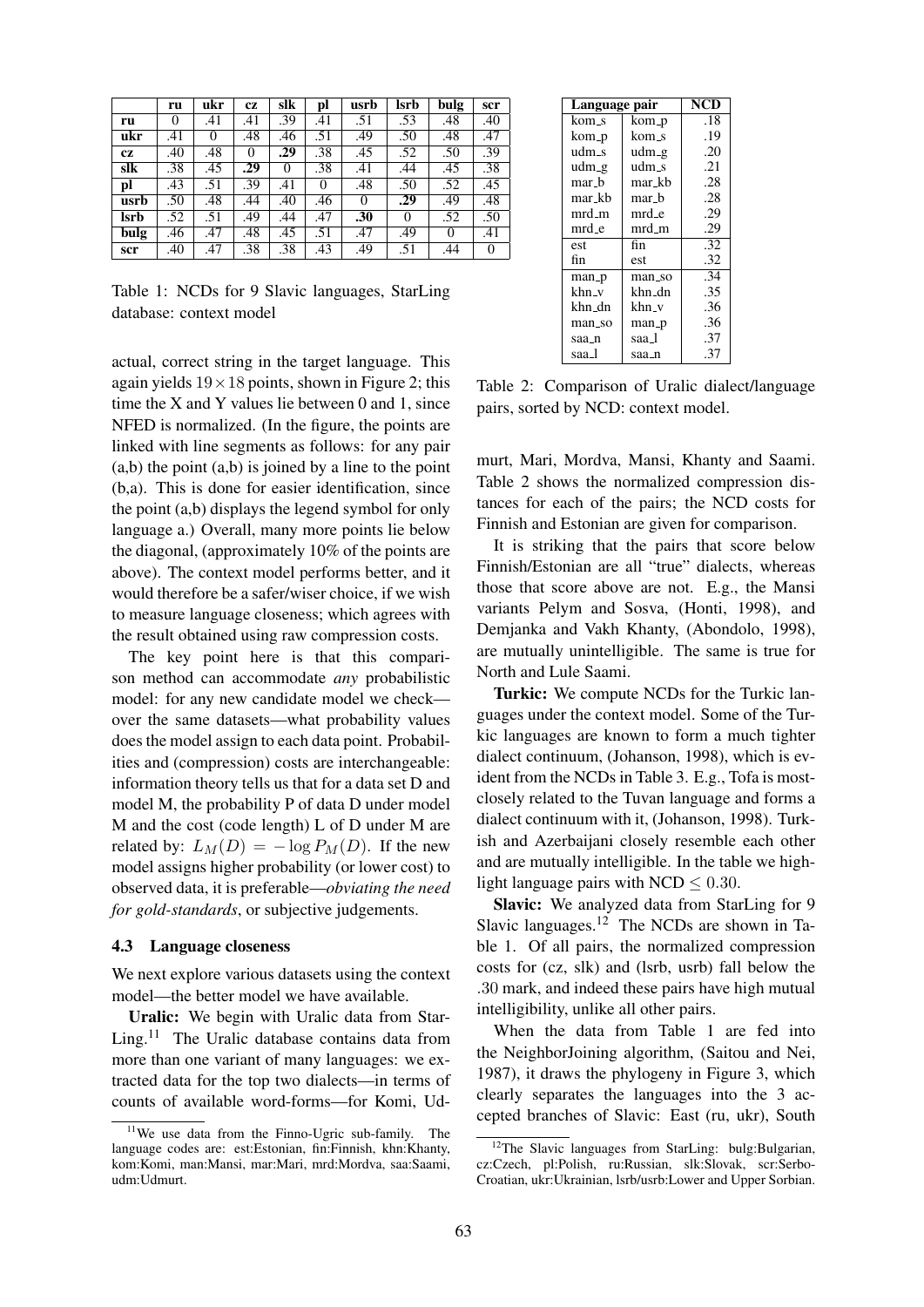|      | ru       | ukr      | <b>CZ</b>        | slk              | pl       | usrb     | lsrb | bulg     | scr              |
|------|----------|----------|------------------|------------------|----------|----------|------|----------|------------------|
| ru   | $\theta$ | .41      | .41              | $\overline{.}39$ | .41      | .51      | .53  | .48      | .40              |
| ukr  | .41      | $\theta$ | .48              | .46              | .51      | .49      | .50  | .48      | .47              |
| cz   | .40      | .48      | $\theta$         | .29              | .38      | .45      | .52  | .50      | .39              |
| slk  | .38      | .45      | .29              | $\Omega$         | .38      | .41      | .44  | .45      | $\overline{.}38$ |
| pl   | .43      | .51      | $\overline{.}39$ | .41              | $\Omega$ | .48      | .50  | .52      | .45              |
| usrb | .50      | .48      | .44              | .40              | .46      | $\theta$ | .29  | .49      | .48              |
| lsrb | .52      | .51      | .49              | .44              | .47      | .30      | 0    | .52      | .50              |
| bulg | .46      | .47      | .48              | .45              | .51      | .47      | .49  | $\Omega$ | .41              |
| scr  | .40      | .47      | .38              | .38              | .43      | .49      | .51  | .44      | $\theta$         |

Table 1: NCDs for 9 Slavic languages, StarLing database: context model

actual, correct string in the target language. This again yields  $19 \times 18$  points, shown in Figure 2; this time the X and Y values lie between 0 and 1, since NFED is normalized. (In the figure, the points are linked with line segments as follows: for any pair  $(a,b)$  the point  $(a,b)$  is joined by a line to the point (b,a). This is done for easier identification, since the point (a,b) displays the legend symbol for only language a.) Overall, many more points lie below the diagonal, (approximately 10% of the points are above). The context model performs better, and it would therefore be a safer/wiser choice, if we wish to measure language closeness; which agrees with the result obtained using raw compression costs.

The key point here is that this comparison method can accommodate *any* probabilistic model: for any new candidate model we check over the same datasets—what probability values does the model assign to each data point. Probabilities and (compression) costs are interchangeable: information theory tells us that for a data set D and model M, the probability P of data D under model M and the cost (code length) L of D under M are related by:  $L_M(D) = -\log P_M(D)$ . If the new model assigns higher probability (or lower cost) to observed data, it is preferable—*obviating the need for gold-standards*, or subjective judgements.

#### 4.3 Language closeness

We next explore various datasets using the context model—the better model we have available.

Uralic: We begin with Uralic data from Star-Ling.<sup>11</sup> The Uralic database contains data from more than one variant of many languages: we extracted data for the top two dialects—in terms of counts of available word-forms—for Komi, Ud-

| Language pair |        | NCD |
|---------------|--------|-----|
| kom_s         | kom_p  | .18 |
| kom_p         | kom_s  | .19 |
| udm_s         | udm_g  | .20 |
| udm_g         | udm_s  | .21 |
| mar b         | mar kb | .28 |
| mar_kb        | mar_b  | .28 |
| mrd_m         | mrd_e  | .29 |
| mrd_e         | mrd_m  | .29 |
| est           | fin    | .32 |
| fin           | est    | .32 |
| man_p         | man_so | .34 |
| khn_v         | khn_dn | .35 |
| khn_dn        | khn_v  | .36 |
| man_so        | man_p  | .36 |
| saa_n         | saa_l  | .37 |
| saa_l         | saa_n  | .37 |

Table 2: Comparison of Uralic dialect/language pairs, sorted by NCD: context model.

murt, Mari, Mordva, Mansi, Khanty and Saami. Table 2 shows the normalized compression distances for each of the pairs; the NCD costs for Finnish and Estonian are given for comparison.

It is striking that the pairs that score below Finnish/Estonian are all "true" dialects, whereas those that score above are not. E.g., the Mansi variants Pelym and Sosva, (Honti, 1998), and Demjanka and Vakh Khanty, (Abondolo, 1998), are mutually unintelligible. The same is true for North and Lule Saami.

Turkic: We compute NCDs for the Turkic languages under the context model. Some of the Turkic languages are known to form a much tighter dialect continuum, (Johanson, 1998), which is evident from the NCDs in Table 3. E.g., Tofa is mostclosely related to the Tuvan language and forms a dialect continuum with it, (Johanson, 1998). Turkish and Azerbaijani closely resemble each other and are mutually intelligible. In the table we highlight language pairs with NCD  $\leq 0.30$ .

Slavic: We analyzed data from StarLing for 9 Slavic languages.<sup>12</sup> The NCDs are shown in Table 1. Of all pairs, the normalized compression costs for (cz, slk) and (lsrb, usrb) fall below the .30 mark, and indeed these pairs have high mutual intelligibility, unlike all other pairs.

When the data from Table 1 are fed into the NeighborJoining algorithm, (Saitou and Nei, 1987), it draws the phylogeny in Figure 3, which clearly separates the languages into the 3 accepted branches of Slavic: East (ru, ukr), South

 $11$ We use data from the Finno-Ugric sub-family. The language codes are: est:Estonian, fin:Finnish, khn:Khanty, kom:Komi, man:Mansi, mar:Mari, mrd:Mordva, saa:Saami, udm:Udmurt.

<sup>&</sup>lt;sup>12</sup>The Slavic languages from StarLing: bulg:Bulgarian, cz:Czech, pl:Polish, ru:Russian, slk:Slovak, scr:Serbo-Croatian, ukr:Ukrainian, lsrb/usrb:Lower and Upper Sorbian.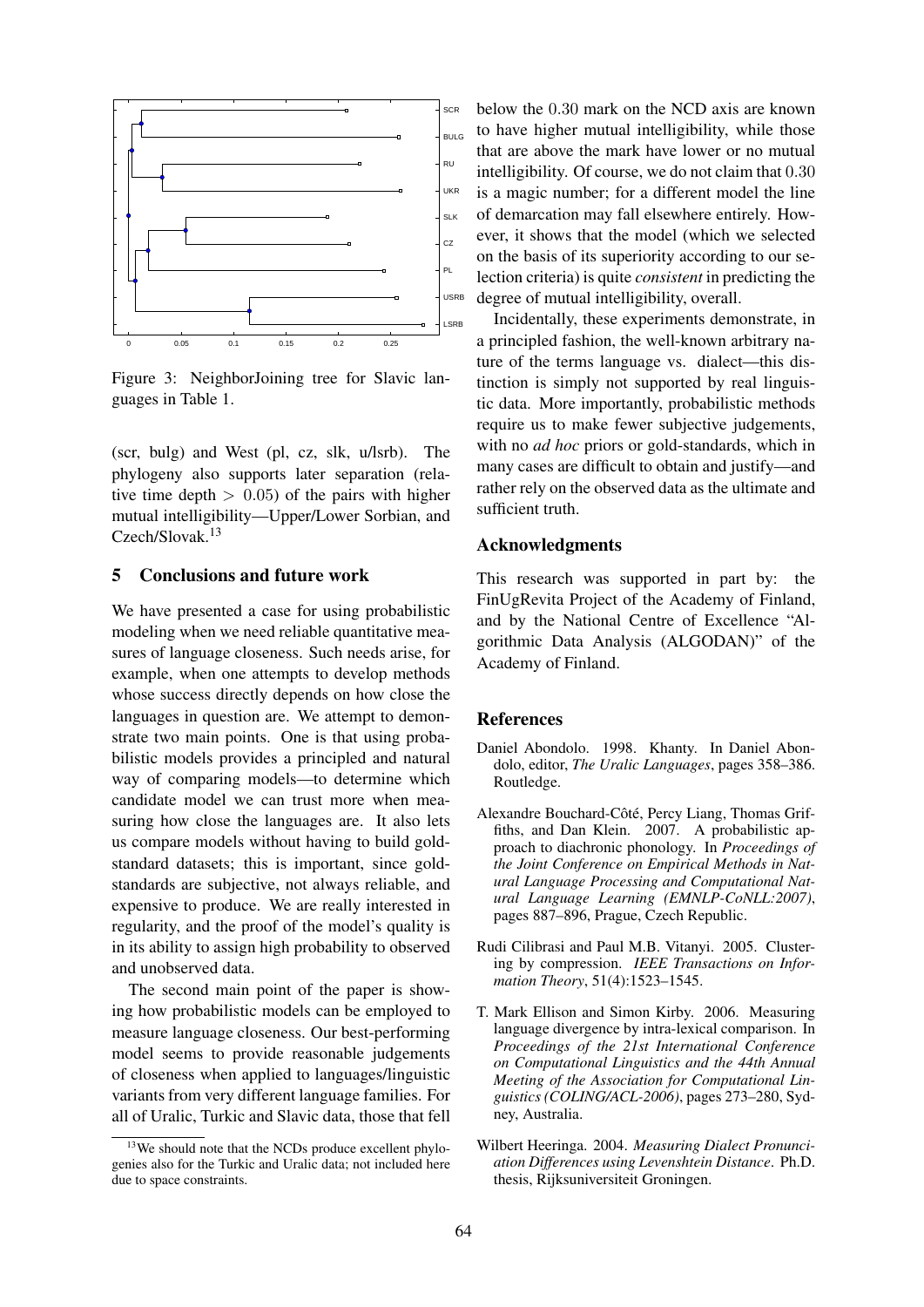

Figure 3: NeighborJoining tree for Slavic languages in Table 1.

(scr, bulg) and West (pl, cz, slk, u/lsrb). The phylogeny also supports later separation (relative time depth  $> 0.05$  of the pairs with higher mutual intelligibility—Upper/Lower Sorbian, and Czech/Slovak.<sup>13</sup>

# 5 Conclusions and future work

We have presented a case for using probabilistic modeling when we need reliable quantitative measures of language closeness. Such needs arise, for example, when one attempts to develop methods whose success directly depends on how close the languages in question are. We attempt to demonstrate two main points. One is that using probabilistic models provides a principled and natural way of comparing models—to determine which candidate model we can trust more when measuring how close the languages are. It also lets us compare models without having to build goldstandard datasets; this is important, since goldstandards are subjective, not always reliable, and expensive to produce. We are really interested in regularity, and the proof of the model's quality is in its ability to assign high probability to observed and unobserved data.

The second main point of the paper is showing how probabilistic models can be employed to measure language closeness. Our best-performing model seems to provide reasonable judgements of closeness when applied to languages/linguistic variants from very different language families. For all of Uralic, Turkic and Slavic data, those that fell below the 0.30 mark on the NCD axis are known to have higher mutual intelligibility, while those that are above the mark have lower or no mutual intelligibility. Of course, we do not claim that 0.30 is a magic number; for a different model the line of demarcation may fall elsewhere entirely. However, it shows that the model (which we selected on the basis of its superiority according to our selection criteria) is quite *consistent* in predicting the degree of mutual intelligibility, overall.

Incidentally, these experiments demonstrate, in a principled fashion, the well-known arbitrary nature of the terms language vs. dialect—this distinction is simply not supported by real linguistic data. More importantly, probabilistic methods require us to make fewer subjective judgements, with no *ad hoc* priors or gold-standards, which in many cases are difficult to obtain and justify—and rather rely on the observed data as the ultimate and sufficient truth.

### Acknowledgments

This research was supported in part by: the FinUgRevita Project of the Academy of Finland, and by the National Centre of Excellence "Algorithmic Data Analysis (ALGODAN)" of the Academy of Finland.

#### **References**

- Daniel Abondolo. 1998. Khanty. In Daniel Abondolo, editor, *The Uralic Languages*, pages 358–386. Routledge.
- Alexandre Bouchard-Côté, Percy Liang, Thomas Griffiths, and Dan Klein. 2007. A probabilistic approach to diachronic phonology. In *Proceedings of the Joint Conference on Empirical Methods in Natural Language Processing and Computational Natural Language Learning (EMNLP-CoNLL:2007)*, pages 887–896, Prague, Czech Republic.
- Rudi Cilibrasi and Paul M.B. Vitanyi. 2005. Clustering by compression. *IEEE Transactions on Information Theory*, 51(4):1523–1545.
- T. Mark Ellison and Simon Kirby. 2006. Measuring language divergence by intra-lexical comparison. In *Proceedings of the 21st International Conference on Computational Linguistics and the 44th Annual Meeting of the Association for Computational Linguistics (COLING/ACL-2006)*, pages 273–280, Sydney, Australia.
- Wilbert Heeringa. 2004. *Measuring Dialect Pronunciation Differences using Levenshtein Distance*. Ph.D. thesis, Rijksuniversiteit Groningen.

<sup>&</sup>lt;sup>13</sup>We should note that the NCDs produce excellent phylogenies also for the Turkic and Uralic data; not included here due to space constraints.